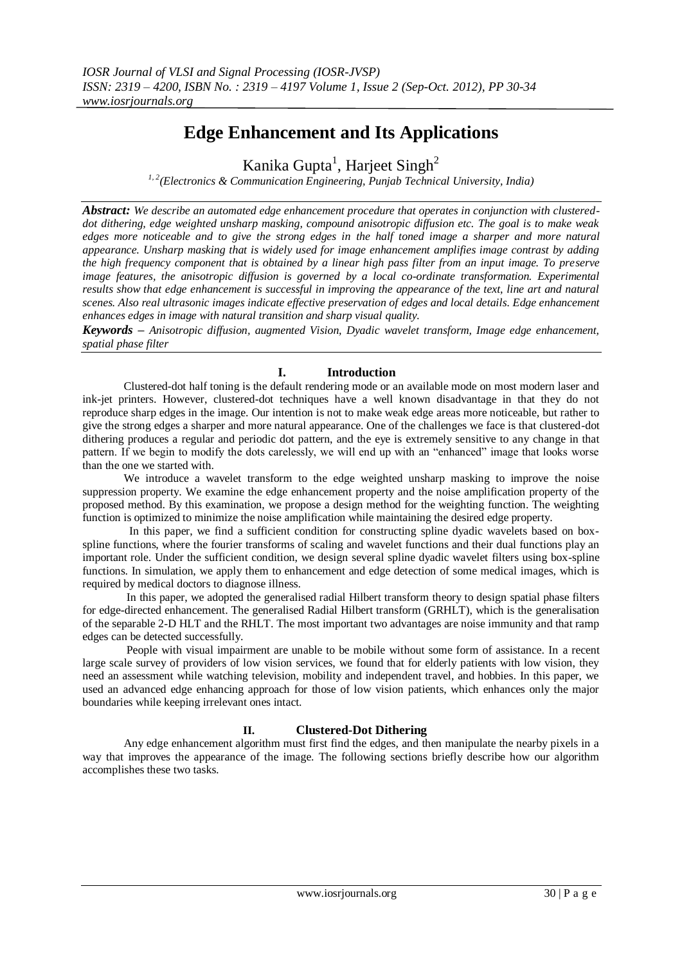# **Edge Enhancement and Its Applications**

Kanika Gupta<sup>1</sup>, Harjeet Singh<sup>2</sup>

*1, 2(Electronics & Communication Engineering, Punjab Technical University, India)*

*Abstract: We describe an automated edge enhancement procedure that operates in conjunction with clustereddot dithering, edge weighted unsharp masking, compound anisotropic diffusion etc. The goal is to make weak edges more noticeable and to give the strong edges in the half toned image a sharper and more natural appearance. Unsharp masking that is widely used for image enhancement amplifies image contrast by adding the high frequency component that is obtained by a linear high pass filter from an input image. To preserve image features, the anisotropic diffusion is governed by a local co-ordinate transformation. Experimental results show that edge enhancement is successful in improving the appearance of the text, line art and natural scenes. Also real ultrasonic images indicate effective preservation of edges and local details. Edge enhancement enhances edges in image with natural transition and sharp visual quality.*

*Keywords – Anisotropic diffusion, augmented Vision, Dyadic wavelet transform, Image edge enhancement, spatial phase filter*

## **I. Introduction**

Clustered-dot half toning is the default rendering mode or an available mode on most modern laser and ink-jet printers. However, clustered-dot techniques have a well known disadvantage in that they do not reproduce sharp edges in the image. Our intention is not to make weak edge areas more noticeable, but rather to give the strong edges a sharper and more natural appearance. One of the challenges we face is that clustered-dot dithering produces a regular and periodic dot pattern, and the eye is extremely sensitive to any change in that pattern. If we begin to modify the dots carelessly, we will end up with an "enhanced" image that looks worse than the one we started with.

 We introduce a wavelet transform to the edge weighted unsharp masking to improve the noise suppression property. We examine the edge enhancement property and the noise amplification property of the proposed method. By this examination, we propose a design method for the weighting function. The weighting function is optimized to minimize the noise amplification while maintaining the desired edge property.

 In this paper, we find a sufficient condition for constructing spline dyadic wavelets based on boxspline functions, where the fourier transforms of scaling and wavelet functions and their dual functions play an important role. Under the sufficient condition, we design several spline dyadic wavelet filters using box-spline functions. In simulation, we apply them to enhancement and edge detection of some medical images, which is required by medical doctors to diagnose illness.

 In this paper, we adopted the generalised radial Hilbert transform theory to design spatial phase filters for edge-directed enhancement. The generalised Radial Hilbert transform (GRHLT), which is the generalisation of the separable 2-D HLT and the RHLT. The most important two advantages are noise immunity and that ramp edges can be detected successfully.

 People with visual impairment are unable to be mobile without some form of assistance. In a recent large scale survey of providers of low vision services, we found that for elderly patients with low vision, they need an assessment while watching television, mobility and independent travel, and hobbies. In this paper, we used an advanced edge enhancing approach for those of low vision patients, which enhances only the major boundaries while keeping irrelevant ones intact.

## **II. Clustered-Dot Dithering**

Any edge enhancement algorithm must first find the edges, and then manipulate the nearby pixels in a way that improves the appearance of the image. The following sections briefly describe how our algorithm accomplishes these two tasks*.*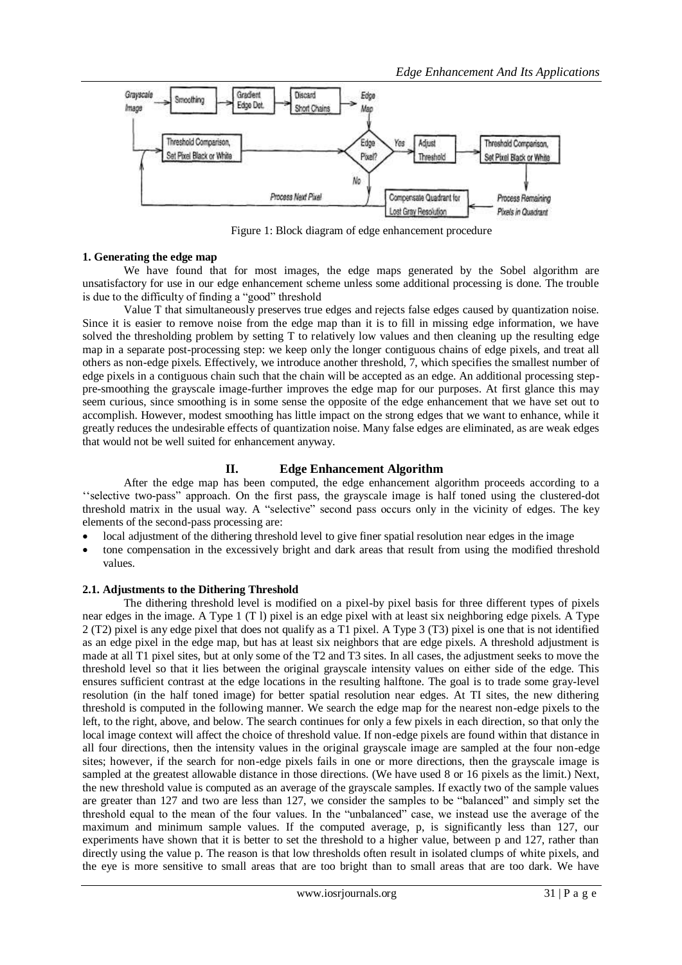

Figure 1: Block diagram of edge enhancement procedure

#### **1. Generating the edge map**

We have found that for most images, the edge maps generated by the Sobel algorithm are unsatisfactory for use in our edge enhancement scheme unless some additional processing is done. The trouble is due to the difficulty of finding a "good" threshold

Value T that simultaneously preserves true edges and rejects false edges caused by quantization noise. Since it is easier to remove noise from the edge map than it is to fill in missing edge information, we have solved the thresholding problem by setting T to relatively low values and then cleaning up the resulting edge map in a separate post-processing step: we keep only the longer contiguous chains of edge pixels, and treat all others as non-edge pixels. Effectively, we introduce another threshold, 7, which specifies the smallest number of edge pixels in a contiguous chain such that the chain will be accepted as an edge. An additional processing steppre-smoothing the grayscale image-further improves the edge map for our purposes. At first glance this may seem curious, since smoothing is in some sense the opposite of the edge enhancement that we have set out to accomplish. However, modest smoothing has little impact on the strong edges that we want to enhance, while it greatly reduces the undesirable effects of quantization noise. Many false edges are eliminated, as are weak edges that would not be well suited for enhancement anyway.

## **II. Edge Enhancement Algorithm**

After the edge map has been computed, the edge enhancement algorithm proceeds according to a "selective two-pass" approach. On the first pass, the grayscale image is half toned using the clustered-dot threshold matrix in the usual way. A "selective" second pass occurs only in the vicinity of edges. The key elements of the second-pass processing are:

- local adjustment of the dithering threshold level to give finer spatial resolution near edges in the image
- tone compensation in the excessively bright and dark areas that result from using the modified threshold values.

### **2.1. Adjustments to the Dithering Threshold**

The dithering threshold level is modified on a pixel-by pixel basis for three different types of pixels near edges in the image. A Type 1 (T l) pixel is an edge pixel with at least six neighboring edge pixels. A Type 2 (T2) pixel is any edge pixel that does not qualify as a T1 pixel. A Type 3 (T3) pixel is one that is not identified as an edge pixel in the edge map, but has at least six neighbors that are edge pixels. A threshold adjustment is made at all T1 pixel sites, but at only some of the T2 and T3 sites. In all cases, the adjustment seeks to move the threshold level so that it lies between the original grayscale intensity values on either side of the edge. This ensures sufficient contrast at the edge locations in the resulting halftone. The goal is to trade some gray-level resolution (in the half toned image) for better spatial resolution near edges. At TI sites, the new dithering threshold is computed in the following manner. We search the edge map for the nearest non-edge pixels to the left, to the right, above, and below. The search continues for only a few pixels in each direction, so that only the local image context will affect the choice of threshold value. If non-edge pixels are found within that distance in all four directions, then the intensity values in the original grayscale image are sampled at the four non-edge sites; however, if the search for non-edge pixels fails in one or more directions, then the grayscale image is sampled at the greatest allowable distance in those directions. (We have used 8 or 16 pixels as the limit.) Next, the new threshold value is computed as an average of the grayscale samples. If exactly two of the sample values are greater than 127 and two are less than 127, we consider the samples to be "balanced" and simply set the threshold equal to the mean of the four values. In the "unbalanced" case, we instead use the average of the maximum and minimum sample values. If the computed average, p, is significantly less than 127, our experiments have shown that it is better to set the threshold to a higher value, between p and 127, rather than directly using the value p. The reason is that low thresholds often result in isolated clumps of white pixels, and the eye is more sensitive to small areas that are too bright than to small areas that are too dark. We have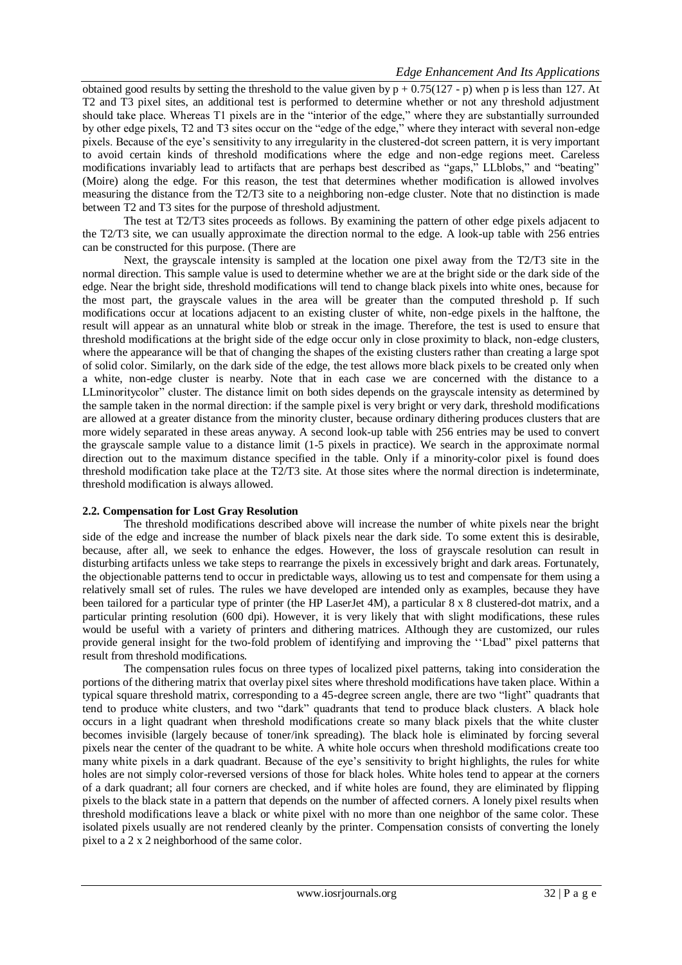obtained good results by setting the threshold to the value given by  $p + 0.75(127 - p)$  when p is less than 127. At T2 and T3 pixel sites, an additional test is performed to determine whether or not any threshold adjustment should take place. Whereas T1 pixels are in the "interior of the edge," where they are substantially surrounded by other edge pixels, T2 and T3 sites occur on the "edge of the edge," where they interact with several non-edge pixels. Because of the eye"s sensitivity to any irregularity in the clustered-dot screen pattern, it is very important to avoid certain kinds of threshold modifications where the edge and non-edge regions meet. Careless modifications invariably lead to artifacts that are perhaps best described as "gaps," LLblobs," and "beating" (Moire) along the edge. For this reason, the test that determines whether modification is allowed involves measuring the distance from the T2/T3 site to a neighboring non-edge cluster. Note that no distinction is made between T2 and T3 sites for the purpose of threshold adjustment.

 The test at T2/T3 sites proceeds as follows. By examining the pattern of other edge pixels adjacent to the T2/T3 site, we can usually approximate the direction normal to the edge. A look-up table with 256 entries can be constructed for this purpose. (There are

Next, the grayscale intensity is sampled at the location one pixel away from the T2/T3 site in the normal direction. This sample value is used to determine whether we are at the bright side or the dark side of the edge. Near the bright side, threshold modifications will tend to change black pixels into white ones, because for the most part, the grayscale values in the area will be greater than the computed threshold p. If such modifications occur at locations adjacent to an existing cluster of white, non-edge pixels in the halftone, the result will appear as an unnatural white blob or streak in the image. Therefore, the test is used to ensure that threshold modifications at the bright side of the edge occur only in close proximity to black, non-edge clusters, where the appearance will be that of changing the shapes of the existing clusters rather than creating a large spot of solid color. Similarly, on the dark side of the edge, the test allows more black pixels to be created only when a white, non-edge cluster is nearby. Note that in each case we are concerned with the distance to a LLminoritycolor" cluster. The distance limit on both sides depends on the grayscale intensity as determined by the sample taken in the normal direction: if the sample pixel is very bright or very dark, threshold modifications are allowed at a greater distance from the minority cluster, because ordinary dithering produces clusters that are more widely separated in these areas anyway. A second look-up table with 256 entries may be used to convert the grayscale sample value to a distance limit (1-5 pixels in practice). We search in the approximate normal direction out to the maximum distance specified in the table. Only if a minority-color pixel is found does threshold modification take place at the T2/T3 site. At those sites where the normal direction is indeterminate, threshold modification is always allowed.

## **2.2. Compensation for Lost Gray Resolution**

The threshold modifications described above will increase the number of white pixels near the bright side of the edge and increase the number of black pixels near the dark side. To some extent this is desirable, because, after all, we seek to enhance the edges. However, the loss of grayscale resolution can result in disturbing artifacts unless we take steps to rearrange the pixels in excessively bright and dark areas. Fortunately, the objectionable patterns tend to occur in predictable ways, allowing us to test and compensate for them using a relatively small set of rules. The rules we have developed are intended only as examples, because they have been tailored for a particular type of printer (the HP LaserJet 4M), a particular 8 x 8 clustered-dot matrix, and a particular printing resolution (600 dpi). However, it is very likely that with slight modifications, these rules would be useful with a variety of printers and dithering matrices. AIthough they are customized, our rules provide general insight for the two-fold problem of identifying and improving the ""Lbad" pixel patterns that result from threshold modifications.

 The compensation rules focus on three types of localized pixel patterns, taking into consideration the portions of the dithering matrix that overlay pixel sites where threshold modifications have taken place. Within a typical square threshold matrix, corresponding to a 45-degree screen angle, there are two "light" quadrants that tend to produce white clusters, and two "dark" quadrants that tend to produce black clusters. A black hole occurs in a light quadrant when threshold modifications create so many black pixels that the white cluster becomes invisible (largely because of toner/ink spreading). The black hole is eliminated by forcing several pixels near the center of the quadrant to be white. A white hole occurs when threshold modifications create too many white pixels in a dark quadrant. Because of the eye"s sensitivity to bright highlights, the rules for white holes are not simply color-reversed versions of those for black holes. White holes tend to appear at the corners of a dark quadrant; all four corners are checked, and if white holes are found, they are eliminated by flipping pixels to the black state in a pattern that depends on the number of affected corners. A lonely pixel results when threshold modifications leave a black or white pixel with no more than one neighbor of the same color. These isolated pixels usually are not rendered cleanly by the printer. Compensation consists of converting the lonely pixel to a 2 x 2 neighborhood of the same color.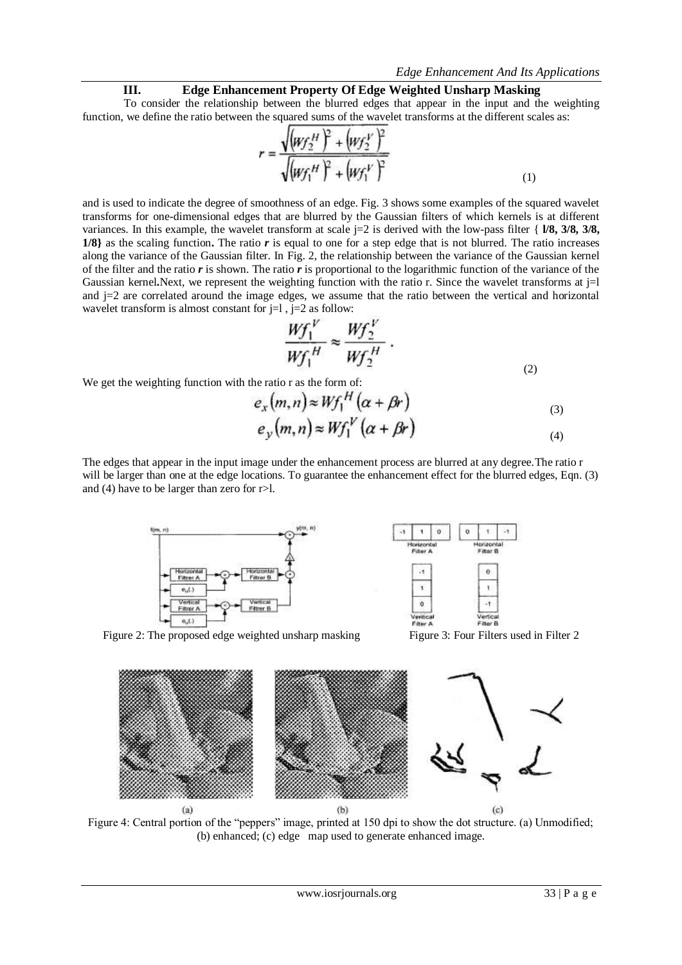#### **III. Edge Enhancement Property Of Edge Weighted Unsharp Masking**

To consider the relationship between the blurred edges that appear in the input and the weighting function, we define the ratio between the squared sums of the wavelet transforms at the different scales as:

$$
r = \frac{\sqrt{(w_f z^H)^2 + (w_f z^V)^2}}{\sqrt{(w_f t^H)^2 + (w_f t^V)^2}}
$$
(1)

and is used to indicate the degree of smoothness of an edge. Fig. 3 shows some examples of the squared wavelet transforms for one-dimensional edges that are blurred by the Gaussian filters of which kernels is at different variances. In this example, the wavelet transform at scale j=2 is derived with the low-pass filter { **l/8, 3/8, 3/8, 1/8}** as the scaling function**.** The ratio *r* is equal to one for a step edge that is not blurred. The ratio increases along the variance of the Gaussian filter. In Fig. 2, the relationship between the variance of the Gaussian kernel of the filter and the ratio *r* is shown. The ratio *r* is proportional to the logarithmic function of the variance of the Gaussian kernel. Next, we represent the weighting function with the ratio r. Since the wavelet transforms at j=l and  $j=2$  are correlated around the image edges, we assume that the ratio between the vertical and horizontal wavelet transform is almost constant for  $j=1$ ,  $j=2$  as follow:

$$
\frac{Wf_1^V}{Wf_1^H} \approx \frac{Wf_2^V}{Wf_2^H} \,.
$$

We get the weighting function with the ratio r as the form of:

$$
e_x(m,n) \approx Wf_1^H(\alpha + \beta r)
$$
  
\n
$$
e_y(m,n) \approx Wf_1^V(\alpha + \beta r)
$$
 (3)

The edges that appear in the input image under the enhancement process are blurred at any degree.The ratio r will be larger than one at the edge locations. To guarantee the enhancement effect for the blurred edges, Eqn. (3) and (4) have to be larger than zero for r>l.





Figure 2: The proposed edge weighted unsharp masking Figure 3: Four Filters used in Filter 2



Figure 4: Central portion of the "peppers" image, printed at 150 dpi to show the dot structure. (a) Unmodified; (b) enhanced; (c) edge map used to generate enhanced image.